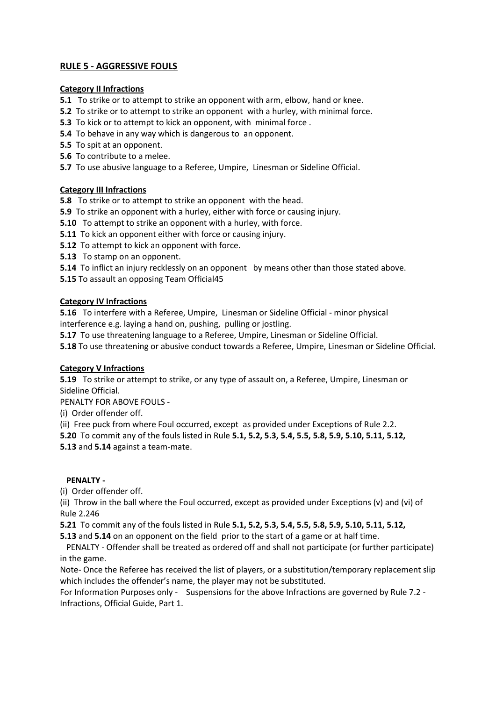# **RULE 5 - AGGRESSIVE FOULS**

## **Category II Infractions**

- **5.1** To strike or to attempt to strike an opponent with arm, elbow, hand or knee.
- **5.2** To strike or to attempt to strike an opponent with a hurley, with minimal force.
- **5.3** To kick or to attempt to kick an opponent, with minimal force .
- **5.4** To behave in any way which is dangerous to an opponent.
- **5.5** To spit at an opponent.
- **5.6** To contribute to a melee.
- **5.7** To use abusive language to a Referee, Umpire, Linesman or Sideline Official.

## **Category III Infractions**

**5.8** To strike or to attempt to strike an opponent with the head.

- **5.9** To strike an opponent with a hurley, either with force or causing injury.
- **5.10** To attempt to strike an opponent with a hurley, with force.
- **5.11** To kick an opponent either with force or causing injury.
- **5.12** To attempt to kick an opponent with force.
- **5.13** To stamp on an opponent.

**5.14** To inflict an injury recklessly on an opponent by means other than those stated above.

**5.15** To assault an opposing Team Official45

## **Category IV Infractions**

**5.16** To interfere with a Referee, Umpire, Linesman or Sideline Official - minor physical interference e.g. laying a hand on, pushing, pulling or jostling.

**5.17** To use threatening language to a Referee, Umpire, Linesman or Sideline Official.

**5.18** To use threatening or abusive conduct towards a Referee, Umpire, Linesman or Sideline Official.

## **Category V Infractions**

**5.19** To strike or attempt to strike, or any type of assault on, a Referee, Umpire, Linesman or Sideline Official.

PENALTY FOR ABOVE FOULS -

(i) Order offender off.

(ii) Free puck from where Foul occurred, except as provided under Exceptions of Rule 2.2.

**5.20** To commit any of the fouls listed in Rule **5.1, 5.2, 5.3, 5.4, 5.5, 5.8, 5.9, 5.10, 5.11, 5.12, 5.13** and **5.14** against a team-mate.

#### **PENALTY -**

(i) Order offender off.

(ii) Throw in the ball where the Foul occurred, except as provided under Exceptions (v) and (vi) of Rule 2.246

**5.21** To commit any of the fouls listed in Rule **5.1, 5.2, 5.3, 5.4, 5.5, 5.8, 5.9, 5.10, 5.11, 5.12,** 

**5.13** and **5.14** on an opponent on the field prior to the start of a game or at half time.

 PENALTY - Offender shall be treated as ordered off and shall not participate (or further participate) in the game.

Note- Once the Referee has received the list of players, or a substitution/temporary replacement slip which includes the offender's name, the player may not be substituted.

For Information Purposes only - Suspensions for the above Infractions are governed by Rule 7.2 - Infractions, Official Guide, Part 1.